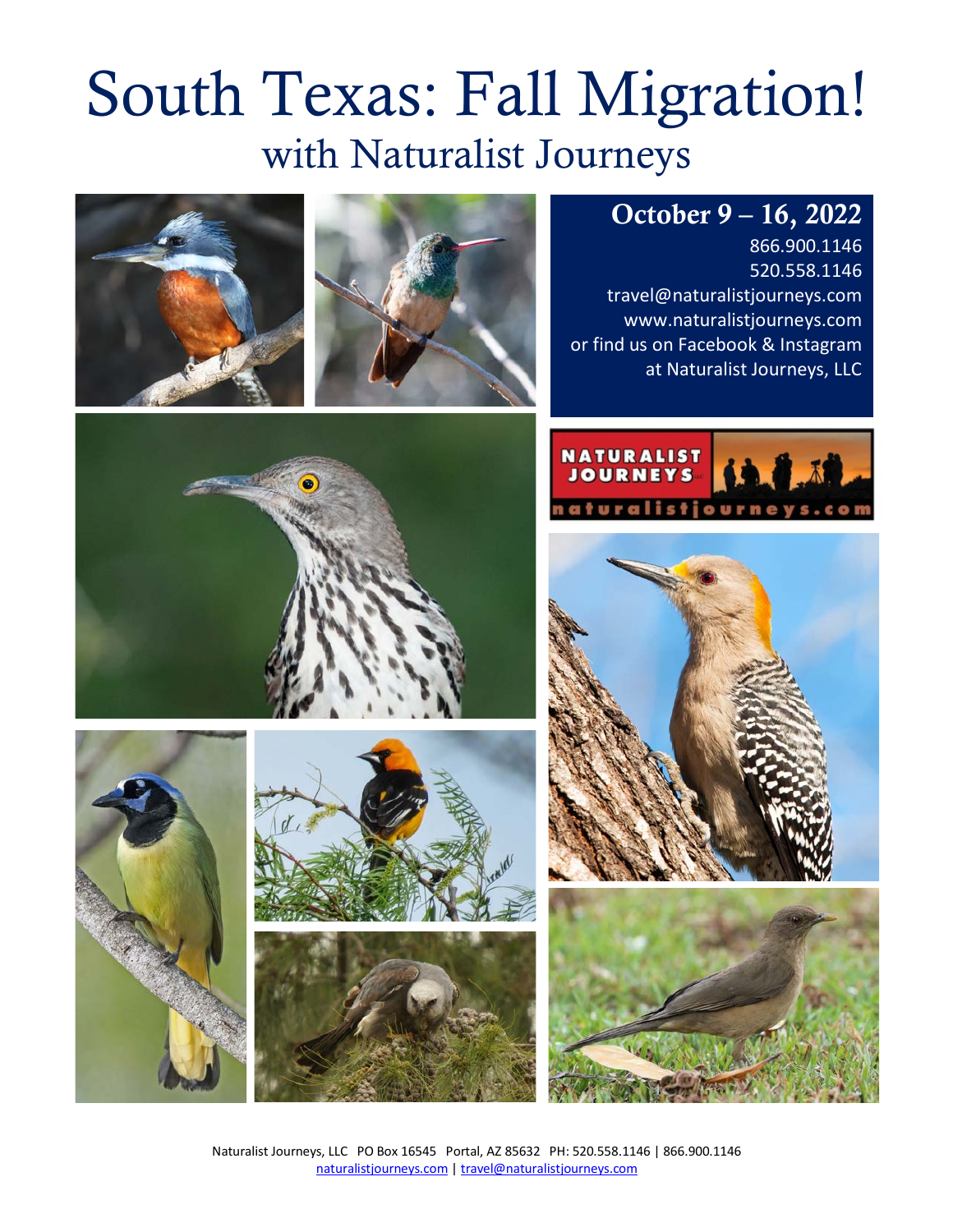# South Texas: Fall Migration! with Naturalist Journeys

# October 9 – 16, 2022

866.900.1146 520.558.1146 travel@naturalistjourneys.com www.naturalistjourneys.com or find us on Facebook & Instagram at Naturalist Journeys, LLC















Naturalist Journeys, LLC PO Box 16545 Portal, AZ 85632 PH: 520.558.1146 | 866.900.1146 naturalistjourneys.com | travel@naturalistjourneys.com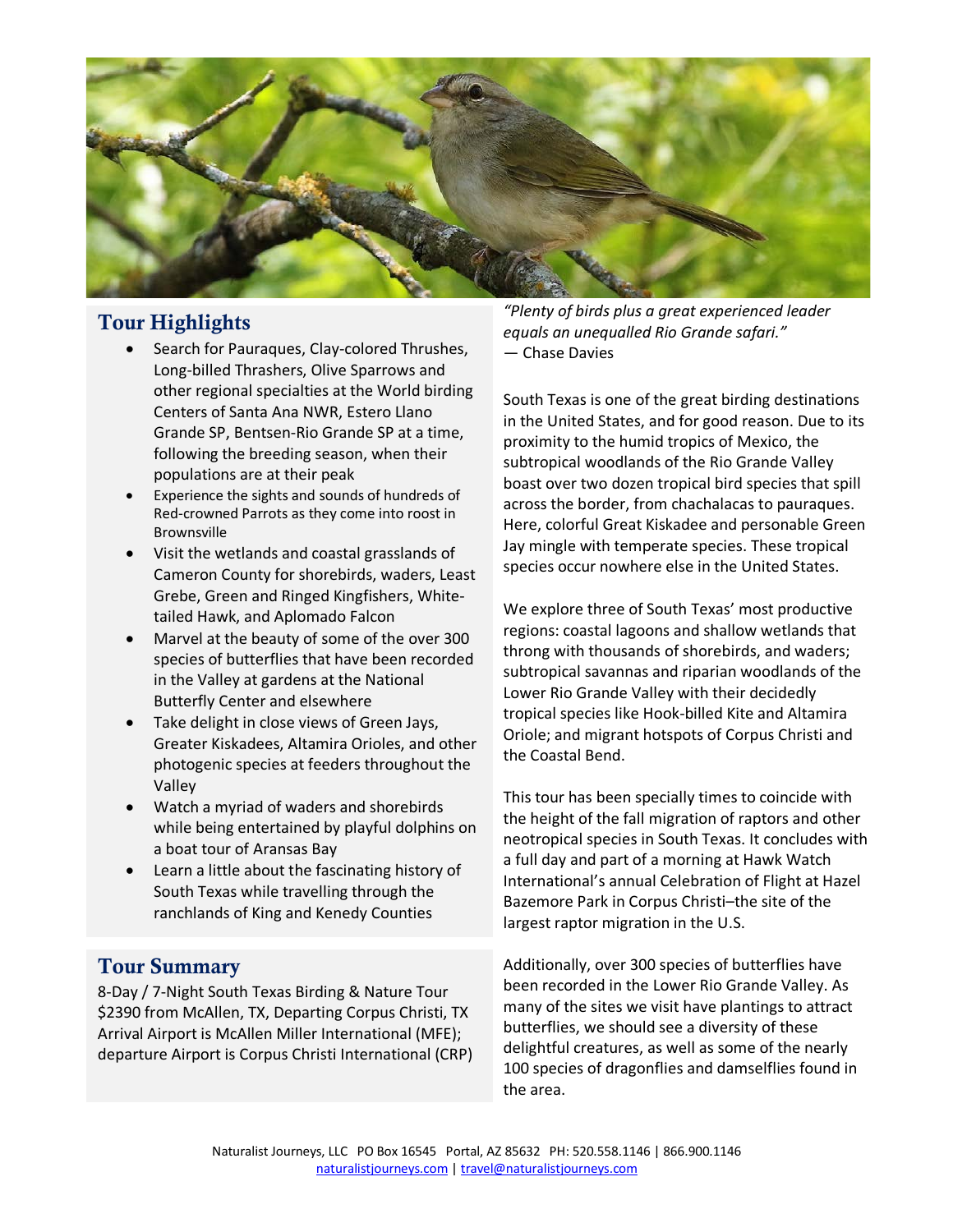

#### Tour Highlights

- Search for Pauraques, Clay-colored Thrushes, Long-billed Thrashers, Olive Sparrows and other regional specialties at the World birding Centers of Santa Ana NWR, Estero Llano Grande SP, Bentsen-Rio Grande SP at a time, following the breeding season, when their populations are at their peak
- Experience the sights and sounds of hundreds of Red-crowned Parrots as they come into roost in Brownsville
- Visit the wetlands and coastal grasslands of Cameron County for shorebirds, waders, Least Grebe, Green and Ringed Kingfishers, Whitetailed Hawk, and Aplomado Falcon
- Marvel at the beauty of some of the over 300 species of butterflies that have been recorded in the Valley at gardens at the National Butterfly Center and elsewhere
- Take delight in close views of Green Jays, Greater Kiskadees, Altamira Orioles, and other photogenic species at feeders throughout the Valley
- Watch a myriad of waders and shorebirds while being entertained by playful dolphins on a boat tour of Aransas Bay
- Learn a little about the fascinating history of South Texas while travelling through the ranchlands of King and Kenedy Counties

#### Tour Summary

8-Day / 7-Night South Texas Birding & Nature Tour \$2390 from McAllen, TX, Departing Corpus Christi, TX Arrival Airport is McAllen Miller International (MFE); departure Airport is Corpus Christi International (CRP)

*"Plenty of birds plus a great experienced leader equals an unequalled Rio Grande safari."*  ― Chase Davies

South Texas is one of the great birding destinations in the United States, and for good reason. Due to its proximity to the humid tropics of Mexico, the subtropical woodlands of the Rio Grande Valley boast over two dozen tropical bird species that spill across the border, from chachalacas to pauraques. Here, colorful Great Kiskadee and personable Green Jay mingle with temperate species. These tropical species occur nowhere else in the United States.

We explore three of South Texas' most productive regions: coastal lagoons and shallow wetlands that throng with thousands of shorebirds, and waders; subtropical savannas and riparian woodlands of the Lower Rio Grande Valley with their decidedly tropical species like Hook-billed Kite and Altamira Oriole; and migrant hotspots of Corpus Christi and the Coastal Bend.

This tour has been specially times to coincide with the height of the fall migration of raptors and other neotropical species in South Texas. It concludes with a full day and part of a morning at Hawk Watch International's annual Celebration of Flight at Hazel Bazemore Park in Corpus Christi–the site of the largest raptor migration in the U.S.

Additionally, over 300 species of butterflies have been recorded in the Lower Rio Grande Valley. As many of the sites we visit have plantings to attract butterflies, we should see a diversity of these delightful creatures, as well as some of the nearly 100 species of dragonflies and damselflies found in the area.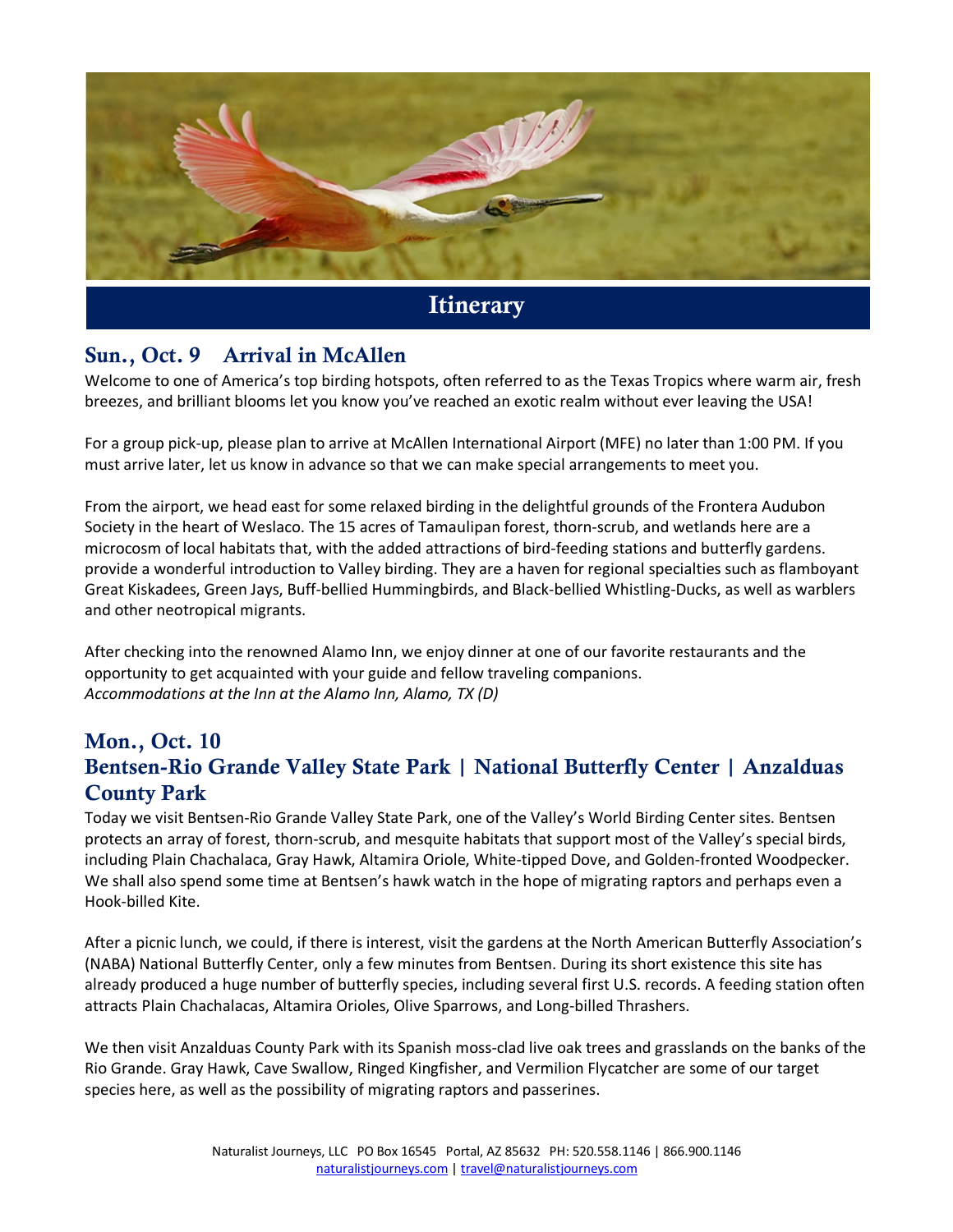

# Sun., Oct. 9 Arrival in McAllen

Welcome to one of America's top birding hotspots, often referred to as the Texas Tropics where warm air, fresh breezes, and brilliant blooms let you know you've reached an exotic realm without ever leaving the USA!

For a group pick-up, please plan to arrive at McAllen International Airport (MFE) no later than 1:00 PM. If you must arrive later, let us know in advance so that we can make special arrangements to meet you.

From the airport, we head east for some relaxed birding in the delightful grounds of the Frontera Audubon Society in the heart of Weslaco. The 15 acres of Tamaulipan forest, thorn-scrub, and wetlands here are a microcosm of local habitats that, with the added attractions of bird-feeding stations and butterfly gardens. provide a wonderful introduction to Valley birding. They are a haven for regional specialties such as flamboyant Great Kiskadees, Green Jays, Buff-bellied Hummingbirds, and Black-bellied Whistling-Ducks, as well as warblers and other neotropical migrants.

After checking into the renowned Alamo Inn, we enjoy dinner at one of our favorite restaurants and the opportunity to get acquainted with your guide and fellow traveling companions. *Accommodations at the Inn at the Alamo Inn, Alamo, TX (D)* 

# Mon., Oct. 10 Bentsen-Rio Grande Valley State Park | National Butterfly Center | Anzalduas County Park

Today we visit Bentsen-Rio Grande Valley State Park, one of the Valley's World Birding Center sites. Bentsen protects an array of forest, thorn-scrub, and mesquite habitats that support most of the Valley's special birds, including Plain Chachalaca, Gray Hawk, Altamira Oriole, White-tipped Dove, and Golden-fronted Woodpecker. We shall also spend some time at Bentsen's hawk watch in the hope of migrating raptors and perhaps even a Hook-billed Kite.

After a picnic lunch, we could, if there is interest, visit the gardens at the North American Butterfly Association's (NABA) National Butterfly Center, only a few minutes from Bentsen. During its short existence this site has already produced a huge number of butterfly species, including several first U.S. records. A feeding station often attracts Plain Chachalacas, Altamira Orioles, Olive Sparrows, and Long-billed Thrashers.

We then visit Anzalduas County Park with its Spanish moss-clad live oak trees and grasslands on the banks of the Rio Grande. Gray Hawk, Cave Swallow, Ringed Kingfisher, and Vermilion Flycatcher are some of our target species here, as well as the possibility of migrating raptors and passerines.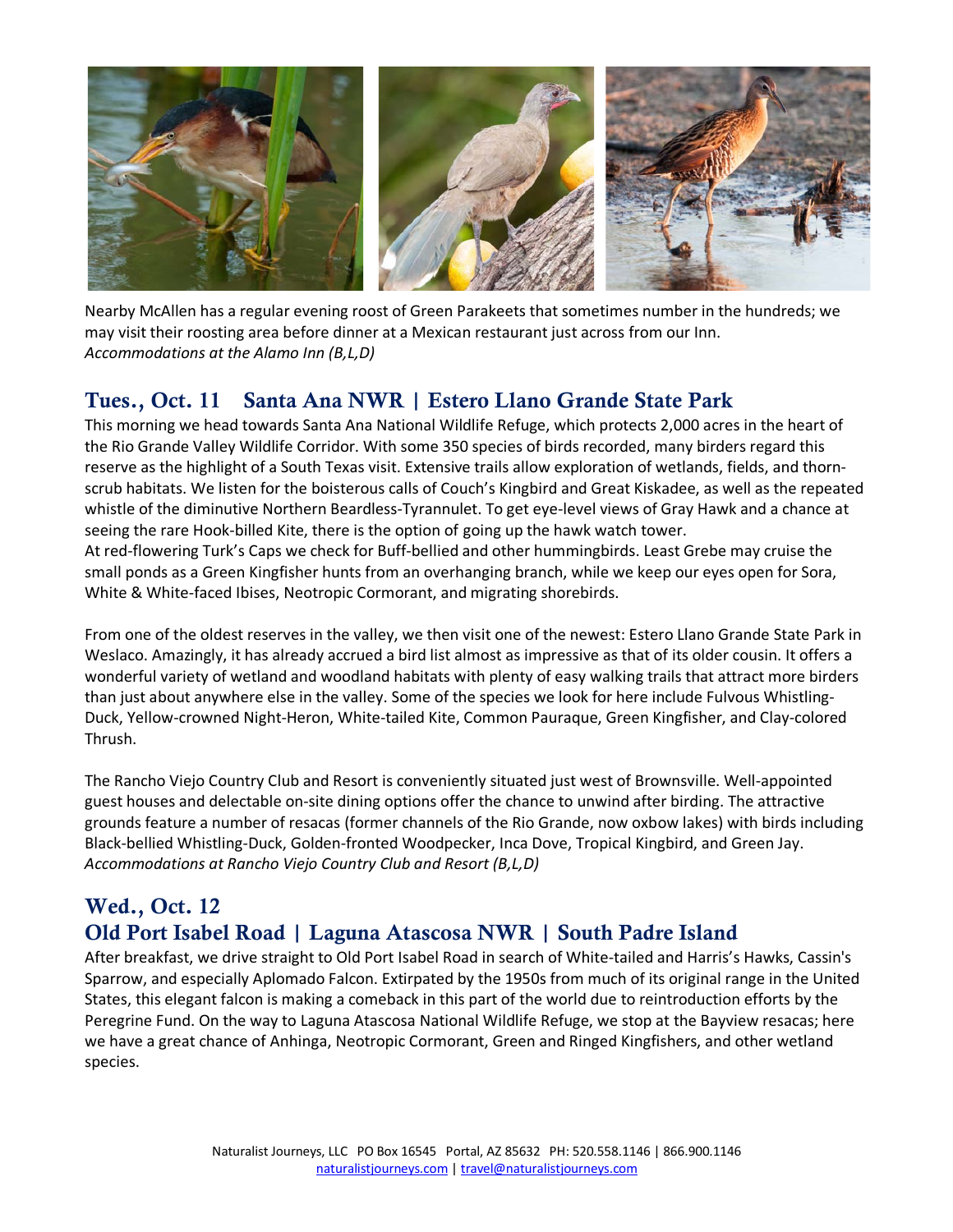

Nearby McAllen has a regular evening roost of Green Parakeets that sometimes number in the hundreds; we may visit their roosting area before dinner at a Mexican restaurant just across from our Inn. *Accommodations at the Alamo Inn (B,L,D)*

### Tues., Oct. 11 Santa Ana NWR | Estero Llano Grande State Park

This morning we head towards Santa Ana National Wildlife Refuge, which protects 2,000 acres in the heart of the Rio Grande Valley Wildlife Corridor. With some 350 species of birds recorded, many birders regard this reserve as the highlight of a South Texas visit. Extensive trails allow exploration of wetlands, fields, and thornscrub habitats. We listen for the boisterous calls of Couch's Kingbird and Great Kiskadee, as well as the repeated whistle of the diminutive Northern Beardless-Tyrannulet. To get eye-level views of Gray Hawk and a chance at seeing the rare Hook-billed Kite, there is the option of going up the hawk watch tower.

At red-flowering Turk's Caps we check for Buff-bellied and other hummingbirds. Least Grebe may cruise the small ponds as a Green Kingfisher hunts from an overhanging branch, while we keep our eyes open for Sora, White & White-faced Ibises, Neotropic Cormorant, and migrating shorebirds.

From one of the oldest reserves in the valley, we then visit one of the newest: Estero Llano Grande State Park in Weslaco. Amazingly, it has already accrued a bird list almost as impressive as that of its older cousin. It offers a wonderful variety of wetland and woodland habitats with plenty of easy walking trails that attract more birders than just about anywhere else in the valley. Some of the species we look for here include Fulvous Whistling-Duck, Yellow-crowned Night-Heron, White-tailed Kite, Common Pauraque, Green Kingfisher, and Clay-colored Thrush.

The Rancho Viejo Country Club and Resort is conveniently situated just west of Brownsville. Well-appointed guest houses and delectable on-site dining options offer the chance to unwind after birding. The attractive grounds feature a number of resacas (former channels of the Rio Grande, now oxbow lakes) with birds including Black-bellied Whistling-Duck, Golden-fronted Woodpecker, Inca Dove, Tropical Kingbird, and Green Jay. *Accommodations at Rancho Viejo Country Club and Resort (B,L,D)*

### Wed., Oct. 12 Old Port Isabel Road | Laguna Atascosa NWR | South Padre Island

After breakfast, we drive straight to Old Port Isabel Road in search of White-tailed and Harris's Hawks, Cassin's Sparrow, and especially Aplomado Falcon. Extirpated by the 1950s from much of its original range in the United States, this elegant falcon is making a comeback in this part of the world due to reintroduction efforts by the Peregrine Fund. On the way to Laguna Atascosa National Wildlife Refuge, we stop at the Bayview resacas; here we have a great chance of Anhinga, Neotropic Cormorant, Green and Ringed Kingfishers, and other wetland species.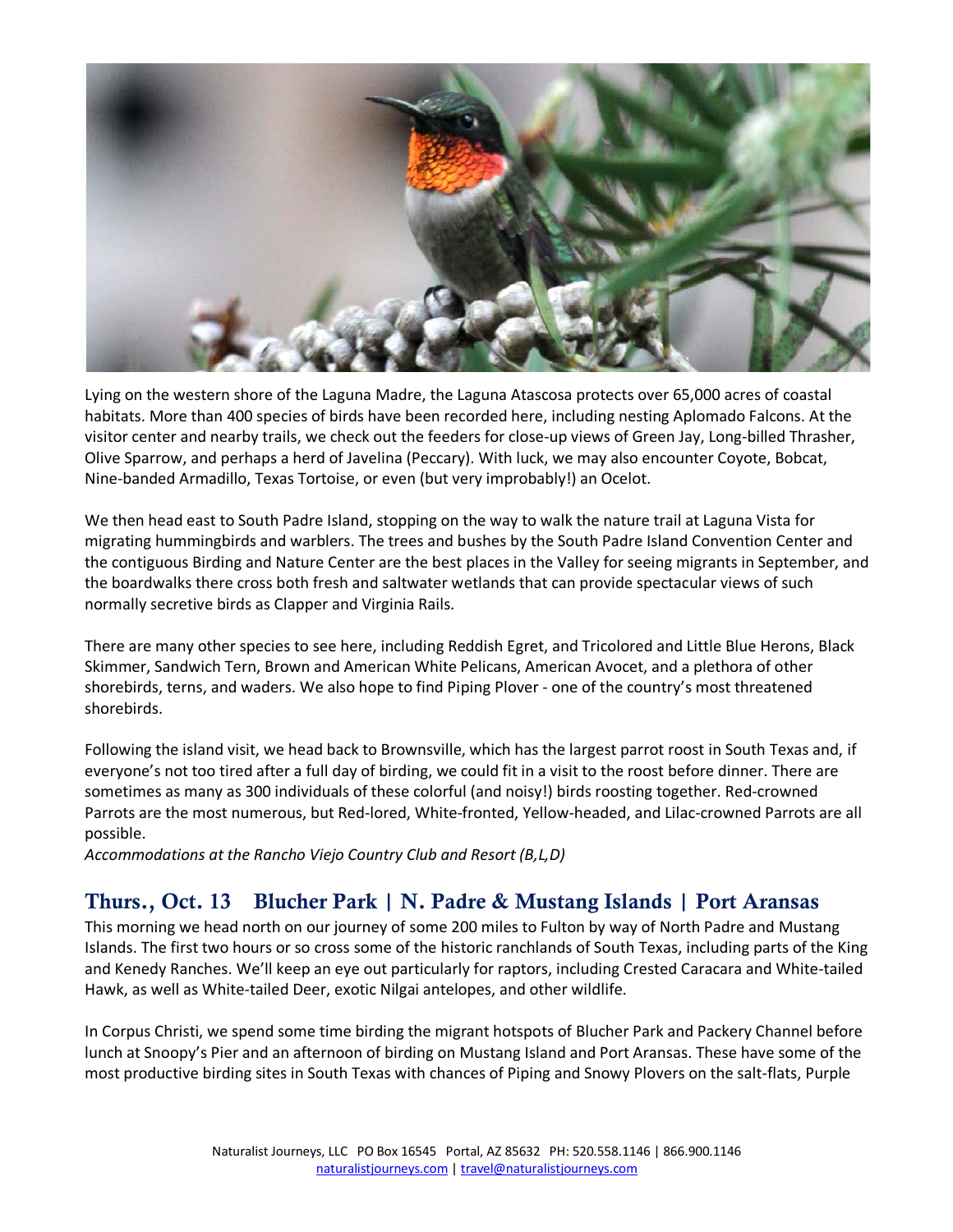

Lying on the western shore of the Laguna Madre, the Laguna Atascosa protects over 65,000 acres of coastal habitats. More than 400 species of birds have been recorded here, including nesting Aplomado Falcons. At the visitor center and nearby trails, we check out the feeders for close-up views of Green Jay, Long-billed Thrasher, Olive Sparrow, and perhaps a herd of Javelina (Peccary). With luck, we may also encounter Coyote, Bobcat, Nine-banded Armadillo, Texas Tortoise, or even (but very improbably!) an Ocelot.

We then head east to South Padre Island, stopping on the way to walk the nature trail at Laguna Vista for migrating hummingbirds and warblers. The trees and bushes by the South Padre Island Convention Center and the contiguous Birding and Nature Center are the best places in the Valley for seeing migrants in September, and the boardwalks there cross both fresh and saltwater wetlands that can provide spectacular views of such normally secretive birds as Clapper and Virginia Rails.

There are many other species to see here, including Reddish Egret, and Tricolored and Little Blue Herons, Black Skimmer, Sandwich Tern, Brown and American White Pelicans, American Avocet, and a plethora of other shorebirds, terns, and waders. We also hope to find Piping Plover - one of the country's most threatened shorebirds.

Following the island visit, we head back to Brownsville, which has the largest parrot roost in South Texas and, if everyone's not too tired after a full day of birding, we could fit in a visit to the roost before dinner. There are sometimes as many as 300 individuals of these colorful (and noisy!) birds roosting together. Red-crowned Parrots are the most numerous, but Red-lored, White-fronted, Yellow-headed, and Lilac-crowned Parrots are all possible.

*Accommodations at the Rancho Viejo Country Club and Resort (B,L,D)* 

#### Thurs., Oct. 13 Blucher Park | N. Padre & Mustang Islands | Port Aransas

This morning we head north on our journey of some 200 miles to Fulton by way of North Padre and Mustang Islands. The first two hours or so cross some of the historic ranchlands of South Texas, including parts of the King and Kenedy Ranches. We'll keep an eye out particularly for raptors, including Crested Caracara and White-tailed Hawk, as well as White-tailed Deer, exotic Nilgai antelopes, and other wildlife.

In Corpus Christi, we spend some time birding the migrant hotspots of Blucher Park and Packery Channel before lunch at Snoopy's Pier and an afternoon of birding on Mustang Island and Port Aransas. These have some of the most productive birding sites in South Texas with chances of Piping and Snowy Plovers on the salt-flats, Purple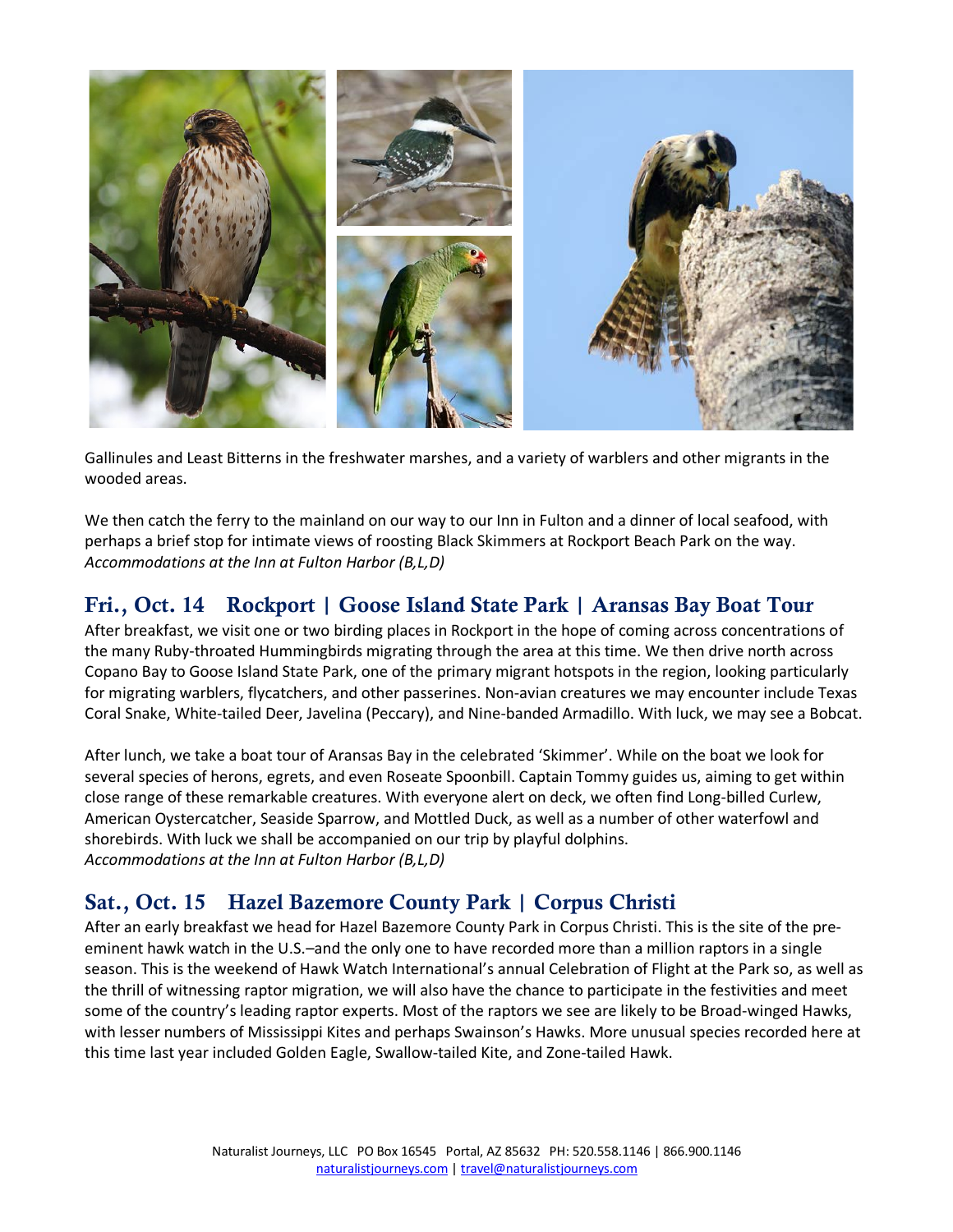

Gallinules and Least Bitterns in the freshwater marshes, and a variety of warblers and other migrants in the wooded areas.

We then catch the ferry to the mainland on our way to our Inn in Fulton and a dinner of local seafood, with perhaps a brief stop for intimate views of roosting Black Skimmers at Rockport Beach Park on the way. *Accommodations at the Inn at Fulton Harbor (B,L,D)*

## Fri., Oct. 14 Rockport | Goose Island State Park | Aransas Bay Boat Tour

After breakfast, we visit one or two birding places in Rockport in the hope of coming across concentrations of the many Ruby-throated Hummingbirds migrating through the area at this time. We then drive north across Copano Bay to Goose Island State Park, one of the primary migrant hotspots in the region, looking particularly for migrating warblers, flycatchers, and other passerines. Non-avian creatures we may encounter include Texas Coral Snake, White-tailed Deer, Javelina (Peccary), and Nine-banded Armadillo. With luck, we may see a Bobcat.

After lunch, we take a boat tour of Aransas Bay in the celebrated 'Skimmer'. While on the boat we look for several species of herons, egrets, and even Roseate Spoonbill. Captain Tommy guides us, aiming to get within close range of these remarkable creatures. With everyone alert on deck, we often find Long-billed Curlew, American Oystercatcher, Seaside Sparrow, and Mottled Duck, as well as a number of other waterfowl and shorebirds. With luck we shall be accompanied on our trip by playful dolphins. *Accommodations at the Inn at Fulton Harbor (B,L,D)*

#### Sat., Oct. 15 Hazel Bazemore County Park | Corpus Christi

After an early breakfast we head for Hazel Bazemore County Park in Corpus Christi. This is the site of the preeminent hawk watch in the U.S.–and the only one to have recorded more than a million raptors in a single season. This is the weekend of Hawk Watch International's annual Celebration of Flight at the Park so, as well as the thrill of witnessing raptor migration, we will also have the chance to participate in the festivities and meet some of the country's leading raptor experts. Most of the raptors we see are likely to be Broad-winged Hawks, with lesser numbers of Mississippi Kites and perhaps Swainson's Hawks. More unusual species recorded here at this time last year included Golden Eagle, Swallow-tailed Kite, and Zone-tailed Hawk.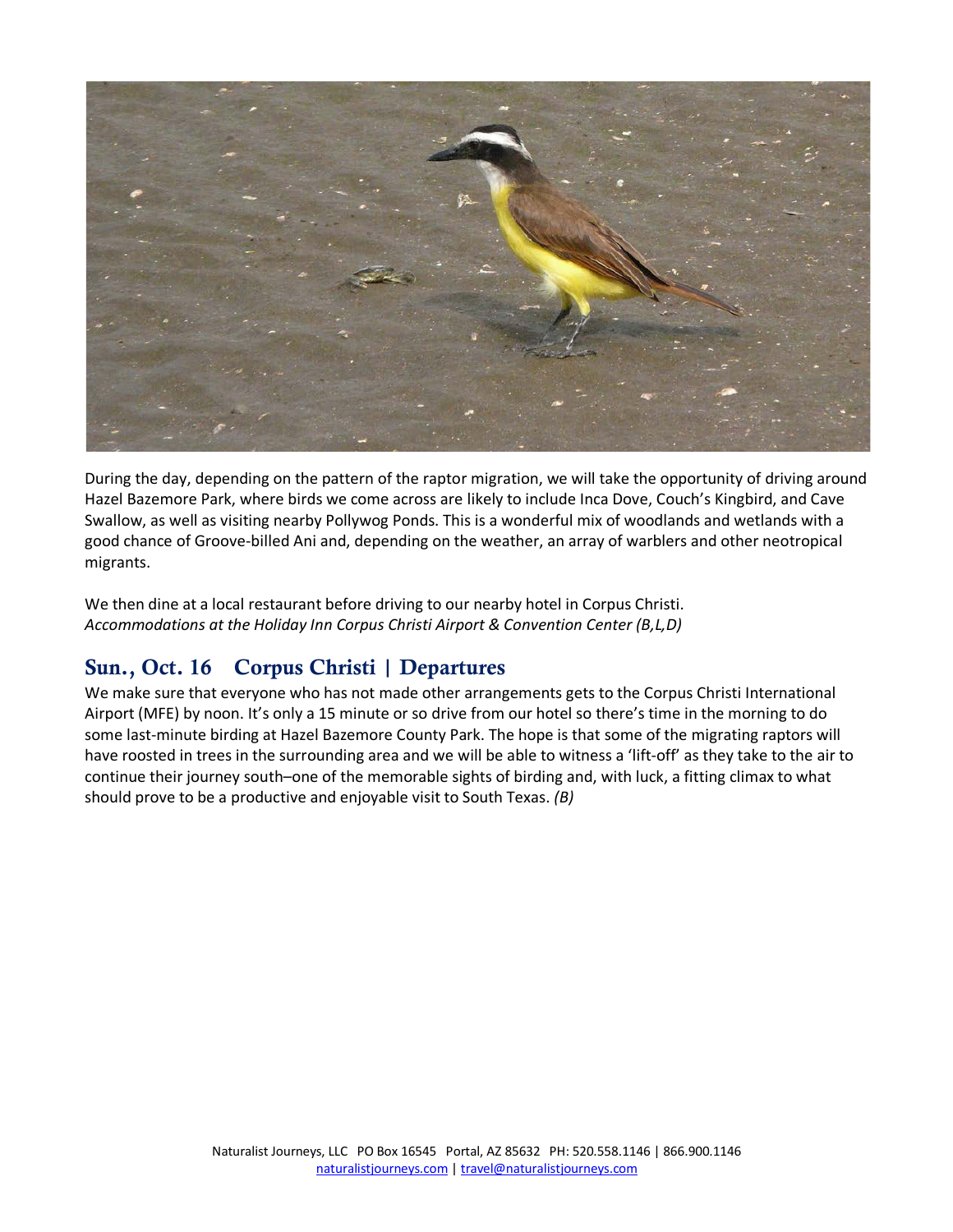

During the day, depending on the pattern of the raptor migration, we will take the opportunity of driving around Hazel Bazemore Park, where birds we come across are likely to include Inca Dove, Couch's Kingbird, and Cave Swallow, as well as visiting nearby Pollywog Ponds. This is a wonderful mix of woodlands and wetlands with a good chance of Groove-billed Ani and, depending on the weather, an array of warblers and other neotropical migrants.

We then dine at a local restaurant before driving to our nearby hotel in Corpus Christi. *Accommodations at the Holiday Inn Corpus Christi Airport & Convention Center (B,L,D)*

#### Sun., Oct. 16 Corpus Christi | Departures

We make sure that everyone who has not made other arrangements gets to the Corpus Christi International Airport (MFE) by noon. It's only a 15 minute or so drive from our hotel so there's time in the morning to do some last-minute birding at Hazel Bazemore County Park. The hope is that some of the migrating raptors will have roosted in trees in the surrounding area and we will be able to witness a 'lift-off' as they take to the air to continue their journey south–one of the memorable sights of birding and, with luck, a fitting climax to what should prove to be a productive and enjoyable visit to South Texas. *(B)*